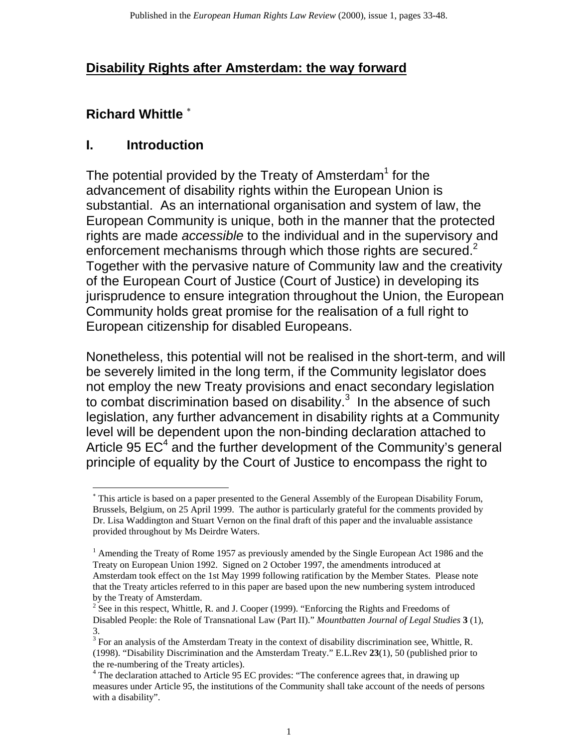# **Disability Rights after Amsterdam: the way forward**

# **Richard Whittle** <sup>∗</sup>

### **I. Introduction**

The potential provided by the Treaty of Amsterdam<sup>1</sup> for the advancement of disability rights within the European Union is substantial. As an international organisation and system of law, the European Community is unique, both in the manner that the protected rights are made *accessible* to the individual and in the supervisory and enforcement mechanisms through which those rights are secured.<sup>2</sup> Together with the pervasive nature of Community law and the creativity of the European Court of Justice (Court of Justice) in developing its jurisprudence to ensure integration throughout the Union, the European Community holds great promise for the realisation of a full right to European citizenship for disabled Europeans.

Nonetheless, this potential will not be realised in the short-term, and will be severely limited in the long term, if the Community legislator does not employ the new Treaty provisions and enact secondary legislation to combat discrimination based on disability.<sup>3</sup> In the absence of such legislation, any further advancement in disability rights at a Community level will be dependent upon the non-binding declaration attached to Article 95  $EC^4$  and the further development of the Community's general principle of equality by the Court of Justice to encompass the right to

<sup>∗</sup> This article is based on a paper presented to the General Assembly of the European Disability Forum, Brussels, Belgium, on 25 April 1999. The author is particularly grateful for the comments provided by Dr. Lisa Waddington and Stuart Vernon on the final draft of this paper and the invaluable assistance provided throughout by Ms Deirdre Waters.

<sup>&</sup>lt;sup>1</sup> Amending the Treaty of Rome 1957 as previously amended by the Single European Act 1986 and the Treaty on European Union 1992. Signed on 2 October 1997, the amendments introduced at Amsterdam took effect on the 1st May 1999 following ratification by the Member States. Please note that the Treaty articles referred to in this paper are based upon the new numbering system introduced by the Treaty of Amsterdam.

 $2^{2}$  See in this respect, Whittle, R. and J. Cooper (1999). "Enforcing the Rights and Freedoms of Disabled People: the Role of Transnational Law (Part II)." *Mountbatten Journal of Legal Studies* **3** (1), 3.

 $3$  For an analysis of the Amsterdam Treaty in the context of disability discrimination see, Whittle, R. (1998). "Disability Discrimination and the Amsterdam Treaty." E.L.Rev **23**(1), 50 (published prior to the re-numbering of the Treaty articles).

<sup>&</sup>lt;sup>4</sup> The declaration attached to Article 95 EC provides: "The conference agrees that, in drawing up measures under Article 95, the institutions of the Community shall take account of the needs of persons with a disability".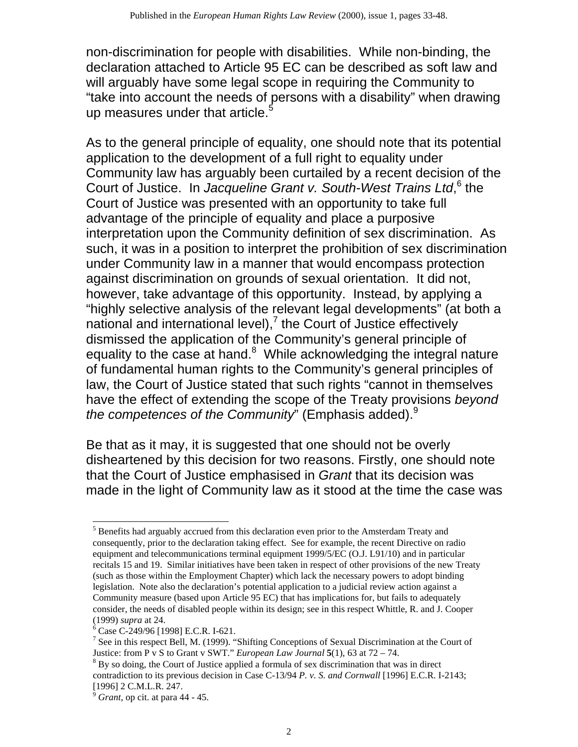non-discrimination for people with disabilities. While non-binding, the declaration attached to Article 95 EC can be described as soft law and will arguably have some legal scope in requiring the Community to "take into account the needs of persons with a disability" when drawing up measures under that article.<sup>5</sup>

As to the general principle of equality, one should note that its potential application to the development of a full right to equality under Community law has arguably been curtailed by a recent decision of the Court of Justice. In Jacqueline Grant v. South-West Trains Ltd,<sup>6</sup> the Court of Justice was presented with an opportunity to take full advantage of the principle of equality and place a purposive interpretation upon the Community definition of sex discrimination. As such, it was in a position to interpret the prohibition of sex discrimination under Community law in a manner that would encompass protection against discrimination on grounds of sexual orientation. It did not, however, take advantage of this opportunity. Instead, by applying a "highly selective analysis of the relevant legal developments" (at both a national and international level), $<sup>7</sup>$  the Court of Justice effectively</sup> dismissed the application of the Community's general principle of equality to the case at hand.<sup>8</sup> While acknowledging the integral nature of fundamental human rights to the Community's general principles of law, the Court of Justice stated that such rights "cannot in themselves have the effect of extending the scope of the Treaty provisions *beyond the competences of the Community*" (Emphasis added).<sup>9</sup>

Be that as it may, it is suggested that one should not be overly disheartened by this decision for two reasons. Firstly, one should note that the Court of Justice emphasised in *Grant* that its decision was made in the light of Community law as it stood at the time the case was

<sup>&</sup>lt;sup>5</sup> Benefits had arguably accrued from this declaration even prior to the Amsterdam Treaty and consequently, prior to the declaration taking effect. See for example, the recent Directive on radio equipment and telecommunications terminal equipment 1999/5/EC (O.J. L91/10) and in particular recitals 15 and 19. Similar initiatives have been taken in respect of other provisions of the new Treaty (such as those within the Employment Chapter) which lack the necessary powers to adopt binding legislation. Note also the declaration's potential application to a judicial review action against a Community measure (based upon Article 95 EC) that has implications for, but fails to adequately consider, the needs of disabled people within its design; see in this respect Whittle, R. and J. Cooper (1999) *supra* at 24.

<sup>&</sup>lt;sup>6</sup> Case C-249/96 [1998] E.C.R. I-621.

<sup>&</sup>lt;sup>7</sup> See in this respect Bell, M. (1999). "Shifting Conceptions of Sexual Discrimination at the Court of Justice: from P v S to Grant v SWT." *European Law Journal* **5**(1), 63 at 72 – 74.

 $8$  By so doing, the Court of Justice applied a formula of sex discrimination that was in direct contradiction to its previous decision in Case C-13/94 *P. v. S. and Cornwall* [1996] E.C.R. I-2143; [1996] 2 C.M.L.R. 247.

<sup>9</sup>*Grant*, op cit. at para 44 - 45.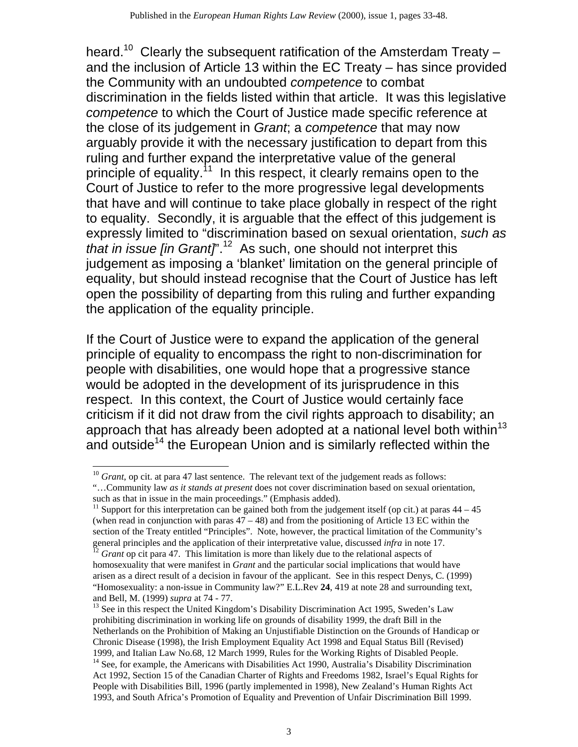heard.<sup>10</sup> Clearly the subsequent ratification of the Amsterdam Treaty – and the inclusion of Article 13 within the EC Treaty – has since provided the Community with an undoubted *competence* to combat discrimination in the fields listed within that article. It was this legislative *competence* to which the Court of Justice made specific reference at the close of its judgement in *Grant*; a *competence* that may now arguably provide it with the necessary justification to depart from this ruling and further expand the interpretative value of the general principle of equality.<sup>11</sup> In this respect, it clearly remains open to the Court of Justice to refer to the more progressive legal developments that have and will continue to take place globally in respect of the right to equality. Secondly, it is arguable that the effect of this judgement is expressly limited to "discrimination based on sexual orientation, *such as that in issue [in Grant]*<sup>".12</sup> As such, one should not interpret this judgement as imposing a 'blanket' limitation on the general principle of equality, but should instead recognise that the Court of Justice has left open the possibility of departing from this ruling and further expanding the application of the equality principle.

If the Court of Justice were to expand the application of the general principle of equality to encompass the right to non-discrimination for people with disabilities, one would hope that a progressive stance would be adopted in the development of its jurisprudence in this respect. In this context, the Court of Justice would certainly face criticism if it did not draw from the civil rights approach to disability; an approach that has already been adopted at a national level both within<sup>13</sup> and outside<sup>14</sup> the European Union and is similarly reflected within the

<sup>&</sup>lt;sup>10</sup> Grant, op cit. at para 47 last sentence. The relevant text of the judgement reads as follows:

<sup>&</sup>quot;…Community law *as it stands at present* does not cover discrimination based on sexual orientation, such as that in issue in the main proceedings." (Emphasis added).

<sup>&</sup>lt;sup>11</sup> Support for this interpretation can be gained both from the judgement itself (op cit.) at paras  $44 - 45$ (when read in conjunction with paras  $47 - 48$ ) and from the positioning of Article 13 EC within the section of the Treaty entitled "Principles". Note, however, the practical limitation of the Community's general principles and the application of their interpretative value, discussed *infra* in note 17.

<sup>&</sup>lt;sup>12</sup> Grant op cit para 47. This limitation is more than likely due to the relational aspects of homosexuality that were manifest in *Grant* and the particular social implications that would have arisen as a direct result of a decision in favour of the applicant. See in this respect Denys, C. (1999) "Homosexuality: a non-issue in Community law?" E.L.Rev **24**, 419 at note 28 and surrounding text, and Bell, M. (1999) *supra* at 74 - 77.

 $<sup>13</sup>$  See in this respect the United Kingdom's Disability Discrimination Act 1995, Sweden's Law</sup> prohibiting discrimination in working life on grounds of disability 1999, the draft Bill in the Netherlands on the Prohibition of Making an Unjustifiable Distinction on the Grounds of Handicap or Chronic Disease (1998), the Irish Employment Equality Act 1998 and Equal Status Bill (Revised) 1999, and Italian Law No.68, 12 March 1999, Rules for the Working Rights of Disabled People. <sup>14</sup> See, for example, the Americans with Disabilities Act 1990, Australia's Disability Discrimination Act 1992, Section 15 of the Canadian Charter of Rights and Freedoms 1982, Israel's Equal Rights for People with Disabilities Bill, 1996 (partly implemented in 1998), New Zealand's Human Rights Act 1993, and South Africa's Promotion of Equality and Prevention of Unfair Discrimination Bill 1999.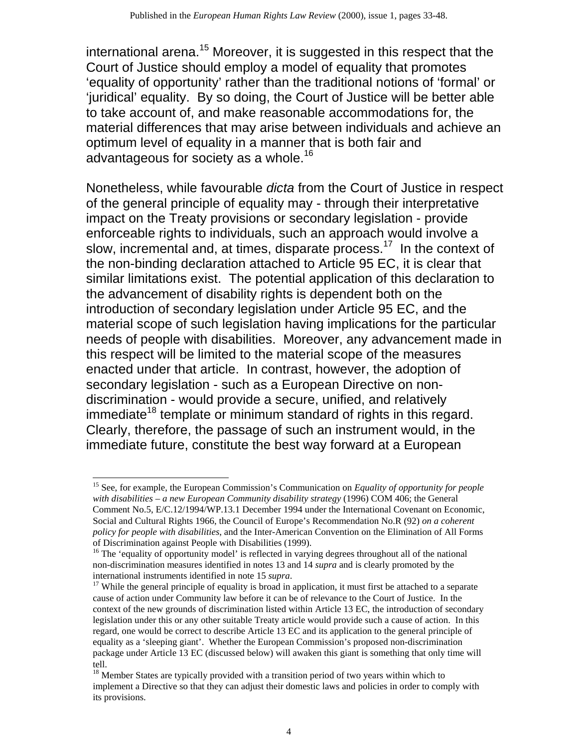international arena.<sup>15</sup> Moreover, it is suggested in this respect that the Court of Justice should employ a model of equality that promotes 'equality of opportunity' rather than the traditional notions of 'formal' or 'juridical' equality. By so doing, the Court of Justice will be better able to take account of, and make reasonable accommodations for, the material differences that may arise between individuals and achieve an optimum level of equality in a manner that is both fair and advantageous for society as a whole.<sup>16</sup>

Nonetheless, while favourable *dicta* from the Court of Justice in respect of the general principle of equality may - through their interpretative impact on the Treaty provisions or secondary legislation - provide enforceable rights to individuals, such an approach would involve a slow, incremental and, at times, disparate process.<sup>17</sup> In the context of the non-binding declaration attached to Article 95 EC, it is clear that similar limitations exist. The potential application of this declaration to the advancement of disability rights is dependent both on the introduction of secondary legislation under Article 95 EC, and the material scope of such legislation having implications for the particular needs of people with disabilities. Moreover, any advancement made in this respect will be limited to the material scope of the measures enacted under that article. In contrast, however, the adoption of secondary legislation - such as a European Directive on nondiscrimination - would provide a secure, unified, and relatively immediate<sup>18</sup> template or minimum standard of rights in this regard. Clearly, therefore, the passage of such an instrument would, in the immediate future, constitute the best way forward at a European

<sup>15</sup> See, for example, the European Commission's Communication on *Equality of opportunity for people with disabilities – a new European Community disability strategy* (1996) COM 406; the General Comment No.5, E/C.12/1994/WP.13.1 December 1994 under the International Covenant on Economic, Social and Cultural Rights 1966, the Council of Europe's Recommendation No.R (92) *on a coherent policy for people with disabilities*, and the Inter-American Convention on the Elimination of All Forms of Discrimination against People with Disabilities (1999).

<sup>&</sup>lt;sup>16</sup> The 'equality of opportunity model' is reflected in varying degrees throughout all of the national non-discrimination measures identified in notes 13 and 14 *supra* and is clearly promoted by the international instruments identified in note 15 *supra*.

 $17$  While the general principle of equality is broad in application, it must first be attached to a separate cause of action under Community law before it can be of relevance to the Court of Justice. In the context of the new grounds of discrimination listed within Article 13 EC, the introduction of secondary legislation under this or any other suitable Treaty article would provide such a cause of action. In this regard, one would be correct to describe Article 13 EC and its application to the general principle of equality as a 'sleeping giant'. Whether the European Commission's proposed non-discrimination package under Article 13 EC (discussed below) will awaken this giant is something that only time will tell.

<sup>&</sup>lt;sup>18</sup> Member States are typically provided with a transition period of two years within which to implement a Directive so that they can adjust their domestic laws and policies in order to comply with its provisions.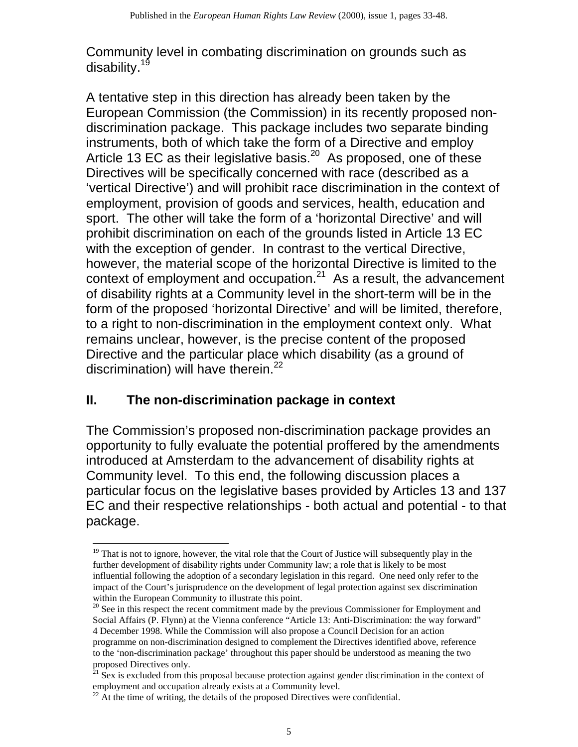Community level in combating discrimination on grounds such as disability.<sup>19</sup>

A tentative step in this direction has already been taken by the European Commission (the Commission) in its recently proposed nondiscrimination package. This package includes two separate binding instruments, both of which take the form of a Directive and employ Article 13 EC as their legislative basis.<sup>20</sup> As proposed, one of these Directives will be specifically concerned with race (described as a 'vertical Directive') and will prohibit race discrimination in the context of employment, provision of goods and services, health, education and sport. The other will take the form of a 'horizontal Directive' and will prohibit discrimination on each of the grounds listed in Article 13 EC with the exception of gender. In contrast to the vertical Directive, however, the material scope of the horizontal Directive is limited to the context of employment and occupation. $2^1$  As a result, the advancement of disability rights at a Community level in the short-term will be in the form of the proposed 'horizontal Directive' and will be limited, therefore, to a right to non-discrimination in the employment context only. What remains unclear, however, is the precise content of the proposed Directive and the particular place which disability (as a ground of discrimination) will have therein.<sup>22</sup>

# **II. The non-discrimination package in context**

The Commission's proposed non-discrimination package provides an opportunity to fully evaluate the potential proffered by the amendments introduced at Amsterdam to the advancement of disability rights at Community level. To this end, the following discussion places a particular focus on the legislative bases provided by Articles 13 and 137 EC and their respective relationships - both actual and potential - to that package.

<sup>&</sup>lt;sup>19</sup> That is not to ignore, however, the vital role that the Court of Justice will subsequently play in the further development of disability rights under Community law; a role that is likely to be most influential following the adoption of a secondary legislation in this regard. One need only refer to the impact of the Court's jurisprudence on the development of legal protection against sex discrimination within the European Community to illustrate this point.

<sup>&</sup>lt;sup>20</sup> See in this respect the recent commitment made by the previous Commissioner for Employment and Social Affairs (P. Flynn) at the Vienna conference "Article 13: Anti-Discrimination: the way forward" 4 December 1998. While the Commission will also propose a Council Decision for an action programme on non-discrimination designed to complement the Directives identified above, reference to the 'non-discrimination package' throughout this paper should be understood as meaning the two proposed Directives only.

 $21$  Sex is excluded from this proposal because protection against gender discrimination in the context of employment and occupation already exists at a Community level.

 $^{22}$  At the time of writing, the details of the proposed Directives were confidential.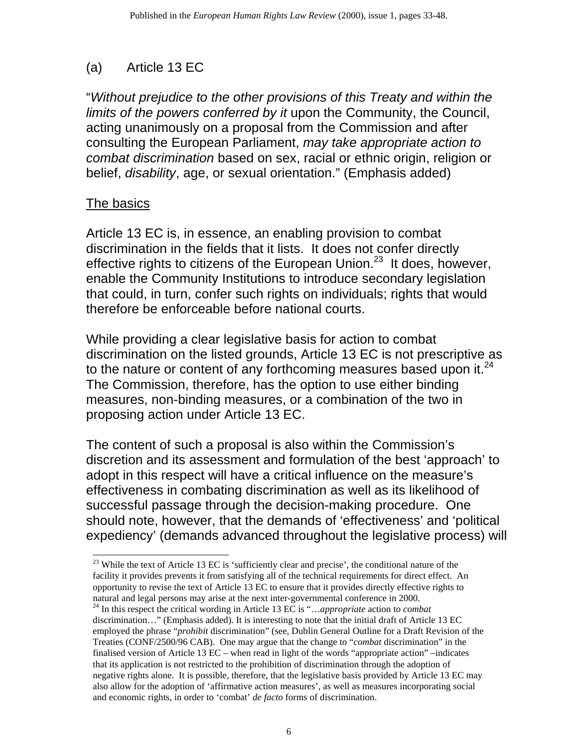# (a) Article 13 EC

"*Without prejudice to the other provisions of this Treaty and within the limits of the powers conferred by it* upon the Community, the Council, acting unanimously on a proposal from the Commission and after consulting the European Parliament, *may take appropriate action to combat discrimination* based on sex, racial or ethnic origin, religion or belief, *disability*, age, or sexual orientation." (Emphasis added)

### The basics

Article 13 EC is, in essence, an enabling provision to combat discrimination in the fields that it lists. It does not confer directly effective rights to citizens of the European Union.<sup>23</sup> It does, however, enable the Community Institutions to introduce secondary legislation that could, in turn, confer such rights on individuals; rights that would therefore be enforceable before national courts.

While providing a clear legislative basis for action to combat discrimination on the listed grounds, Article 13 EC is not prescriptive as to the nature or content of any forthcoming measures based upon it.<sup>24</sup> The Commission, therefore, has the option to use either binding measures, non-binding measures, or a combination of the two in proposing action under Article 13 EC.

The content of such a proposal is also within the Commission's discretion and its assessment and formulation of the best 'approach' to adopt in this respect will have a critical influence on the measure's effectiveness in combating discrimination as well as its likelihood of successful passage through the decision-making procedure. One should note, however, that the demands of 'effectiveness' and 'political expediency' (demands advanced throughout the legislative process) will

<sup>&</sup>lt;sup>23</sup> While the text of Article 13 EC is 'sufficiently clear and precise', the conditional nature of the facility it provides prevents it from satisfying all of the technical requirements for direct effect. An opportunity to revise the text of Article 13 EC to ensure that it provides directly effective rights to natural and legal persons may arise at the next inter-governmental conference in 2000. 24 In this respect the critical wording in Article 13 EC is "…*appropriate* action to *combat* 

discrimination…" (Emphasis added). It is interesting to note that the initial draft of Article 13 EC employed the phrase "*prohibit* discrimination" (see, Dublin General Outline for a Draft Revision of the Treaties (CONF/2500/96 CAB). One may argue that the change to "*combat* discrimination" in the finalised version of Article 13 EC – when read in light of the words "appropriate action" –indicates that its application is not restricted to the prohibition of discrimination through the adoption of negative rights alone. It is possible, therefore, that the legislative basis provided by Article 13 EC may also allow for the adoption of 'affirmative action measures', as well as measures incorporating social and economic rights, in order to 'combat' *de facto* forms of discrimination.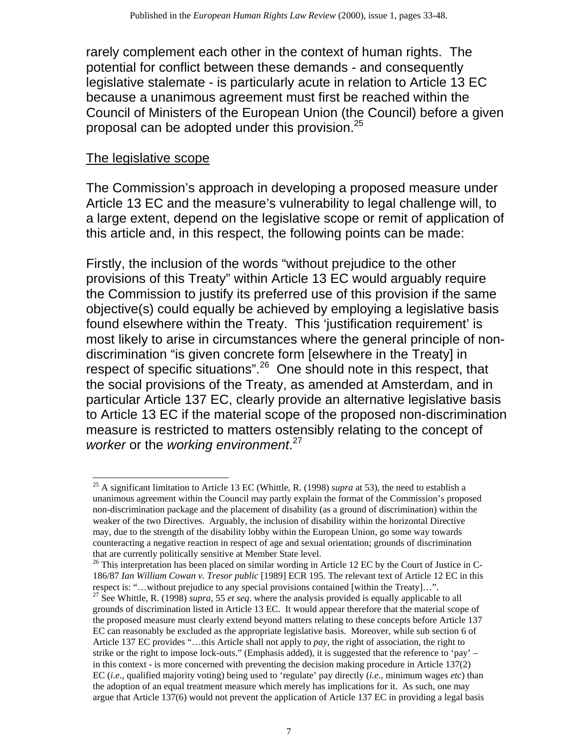rarely complement each other in the context of human rights. The potential for conflict between these demands - and consequently legislative stalemate - is particularly acute in relation to Article 13 EC because a unanimous agreement must first be reached within the Council of Ministers of the European Union (the Council) before a given proposal can be adopted under this provision.<sup>25</sup>

#### The legislative scope

The Commission's approach in developing a proposed measure under Article 13 EC and the measure's vulnerability to legal challenge will, to a large extent, depend on the legislative scope or remit of application of this article and, in this respect, the following points can be made:

Firstly, the inclusion of the words "without prejudice to the other provisions of this Treaty" within Article 13 EC would arguably require the Commission to justify its preferred use of this provision if the same objective(s) could equally be achieved by employing a legislative basis found elsewhere within the Treaty. This 'justification requirement' is most likely to arise in circumstances where the general principle of nondiscrimination "is given concrete form [elsewhere in the Treaty] in respect of specific situations".<sup>26</sup> One should note in this respect, that the social provisions of the Treaty, as amended at Amsterdam, and in particular Article 137 EC, clearly provide an alternative legislative basis to Article 13 EC if the material scope of the proposed non-discrimination measure is restricted to matters ostensibly relating to the concept of *worker* or the *working environment*. 27

<sup>25</sup> A significant limitation to Article 13 EC (Whittle, R. (1998) *supra* at 53), the need to establish a unanimous agreement within the Council may partly explain the format of the Commission's proposed non-discrimination package and the placement of disability (as a ground of discrimination) within the weaker of the two Directives. Arguably, the inclusion of disability within the horizontal Directive may, due to the strength of the disability lobby within the European Union, go some way towards counteracting a negative reaction in respect of age and sexual orientation; grounds of discrimination that are currently politically sensitive at Member State level.<br><sup>26</sup> This interpretation has been placed on similar wording in Article 12 EC by the Court of Justice in C-

<sup>186/87</sup> *Ian William Cowan v. Tresor public* [1989] ECR 195. The relevant text of Article 12 EC in this respect is: "…without prejudice to any special provisions contained [within the Treaty]…". 27 See Whittle, R. (1998) *supra*, 55 *et seq*. where the analysis provided is equally applicable to all

grounds of discrimination listed in Article 13 EC. It would appear therefore that the material scope of the proposed measure must clearly extend beyond matters relating to these concepts before Article 137 EC can reasonably be excluded as the appropriate legislative basis. Moreover, while sub section 6 of Article 137 EC provides "…this Article shall not apply to *pay*, the right of association, the right to strike or the right to impose lock-outs." (Emphasis added), it is suggested that the reference to 'pay' – in this context - is more concerned with preventing the decision making procedure in Article 137(2) EC (*i.e*., qualified majority voting) being used to 'regulate' pay directly (*i.e*., minimum wages *etc*) than the adoption of an equal treatment measure which merely has implications for it. As such, one may argue that Article 137(6) would not prevent the application of Article 137 EC in providing a legal basis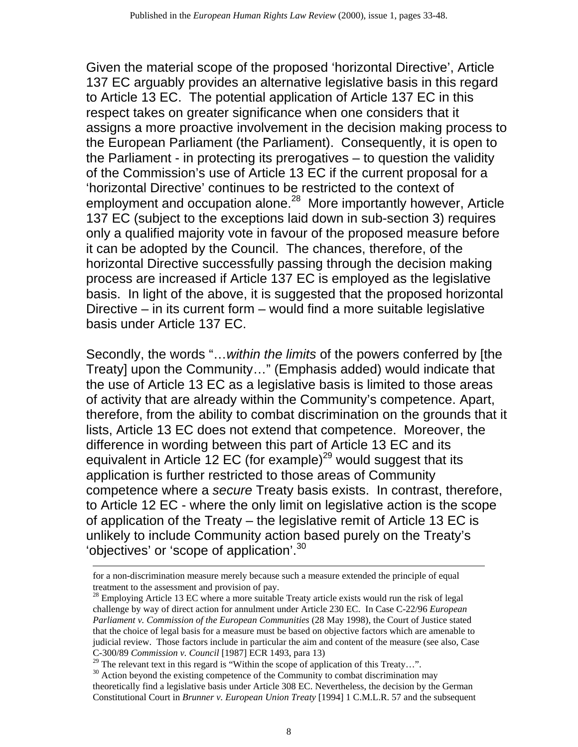Given the material scope of the proposed 'horizontal Directive', Article 137 EC arguably provides an alternative legislative basis in this regard to Article 13 EC. The potential application of Article 137 EC in this respect takes on greater significance when one considers that it assigns a more proactive involvement in the decision making process to the European Parliament (the Parliament). Consequently, it is open to the Parliament - in protecting its prerogatives – to question the validity of the Commission's use of Article 13 EC if the current proposal for a 'horizontal Directive' continues to be restricted to the context of employment and occupation alone.<sup>28</sup> More importantly however, Article 137 EC (subject to the exceptions laid down in sub-section 3) requires only a qualified majority vote in favour of the proposed measure before it can be adopted by the Council. The chances, therefore, of the horizontal Directive successfully passing through the decision making process are increased if Article 137 EC is employed as the legislative basis. In light of the above, it is suggested that the proposed horizontal Directive – in its current form – would find a more suitable legislative basis under Article 137 EC.

Secondly, the words "…*within the limits* of the powers conferred by [the Treaty] upon the Community…" (Emphasis added) would indicate that the use of Article 13 EC as a legislative basis is limited to those areas of activity that are already within the Community's competence. Apart, therefore, from the ability to combat discrimination on the grounds that it lists, Article 13 EC does not extend that competence. Moreover, the difference in wording between this part of Article 13 EC and its equivalent in Article 12 EC (for example)<sup>29</sup> would suggest that its application is further restricted to those areas of Community competence where a *secure* Treaty basis exists. In contrast, therefore, to Article 12 EC - where the only limit on legislative action is the scope of application of the Treaty – the legislative remit of Article 13 EC is unlikely to include Community action based purely on the Treaty's 'objectives' or 'scope of application'.<sup>30</sup>

for a non-discrimination measure merely because such a measure extended the principle of equal treatment to the assessment and provision of pay.

 $28$  Employing Article 13 EC where a more suitable Treaty article exists would run the risk of legal challenge by way of direct action for annulment under Article 230 EC. In Case C-22/96 *European Parliament v. Commission of the European Communities* (28 May 1998), the Court of Justice stated that the choice of legal basis for a measure must be based on objective factors which are amenable to judicial review. Those factors include in particular the aim and content of the measure (see also, Case C-300/89 *Commission v. Council* [1987] ECR 1493, para 13)

 $29$  The relevant text in this regard is "Within the scope of application of this Treaty...".

<sup>&</sup>lt;sup>30</sup> Action beyond the existing competence of the Community to combat discrimination may theoretically find a legislative basis under Article 308 EC. Nevertheless, the decision by the German Constitutional Court in *Brunner v. European Union Treaty* [1994] 1 C.M.L.R. 57 and the subsequent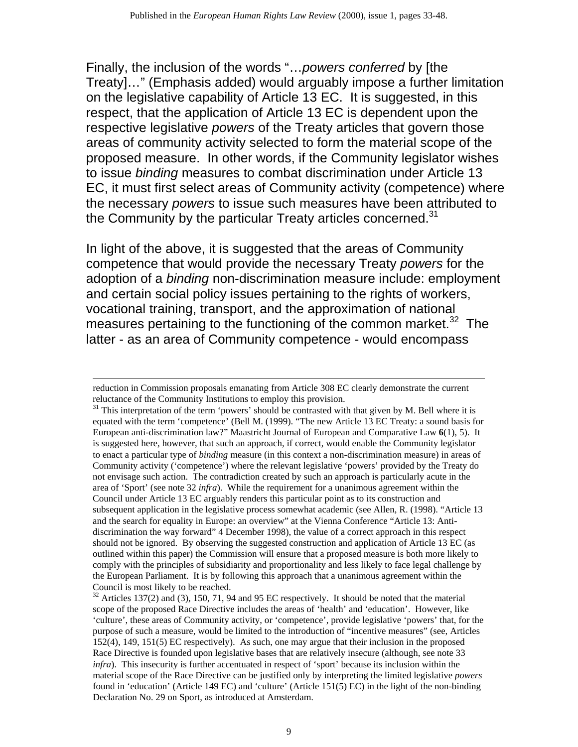Finally, the inclusion of the words "…*powers conferred* by [the Treaty]…" (Emphasis added) would arguably impose a further limitation on the legislative capability of Article 13 EC. It is suggested, in this respect, that the application of Article 13 EC is dependent upon the respective legislative *powers* of the Treaty articles that govern those areas of community activity selected to form the material scope of the proposed measure. In other words, if the Community legislator wishes to issue *binding* measures to combat discrimination under Article 13 EC, it must first select areas of Community activity (competence) where the necessary *powers* to issue such measures have been attributed to the Community by the particular Treaty articles concerned.<sup>31</sup>

In light of the above, it is suggested that the areas of Community competence that would provide the necessary Treaty *powers* for the adoption of a *binding* non-discrimination measure include: employment and certain social policy issues pertaining to the rights of workers, vocational training, transport, and the approximation of national measures pertaining to the functioning of the common market.<sup>32</sup> The latter - as an area of Community competence - would encompass

reduction in Commission proposals emanating from Article 308 EC clearly demonstrate the current

reluctance of the Community Institutions to employ this provision.<br><sup>31</sup> This interpretation of the term 'powers' should be contrasted with that given by M. Bell where it is equated with the term 'competence' (Bell M. (1999). "The new Article 13 EC Treaty: a sound basis for European anti-discrimination law?" Maastricht Journal of European and Comparative Law **6**(1), 5). It is suggested here, however, that such an approach, if correct, would enable the Community legislator to enact a particular type of *binding* measure (in this context a non-discrimination measure) in areas of Community activity ('competence') where the relevant legislative 'powers' provided by the Treaty do not envisage such action. The contradiction created by such an approach is particularly acute in the area of 'Sport' (see note 32 *infra*). While the requirement for a unanimous agreement within the Council under Article 13 EC arguably renders this particular point as to its construction and subsequent application in the legislative process somewhat academic (see Allen, R. (1998). "Article 13 and the search for equality in Europe: an overview" at the Vienna Conference "Article 13: Antidiscrimination the way forward" 4 December 1998), the value of a correct approach in this respect should not be ignored. By observing the suggested construction and application of Article 13 EC (as outlined within this paper) the Commission will ensure that a proposed measure is both more likely to comply with the principles of subsidiarity and proportionality and less likely to face legal challenge by the European Parliament. It is by following this approach that a unanimous agreement within the Council is most likely to be reached.<br><sup>32</sup> Articles 137(2) and (3), 150, 71, 94 and 95 EC respectively. It should be noted that the material

scope of the proposed Race Directive includes the areas of 'health' and 'education'. However, like 'culture', these areas of Community activity, or 'competence', provide legislative 'powers' that, for the purpose of such a measure, would be limited to the introduction of "incentive measures" (see, Articles 152(4), 149, 151(5) EC respectively). As such, one may argue that their inclusion in the proposed Race Directive is founded upon legislative bases that are relatively insecure (although, see note 33 *infra*). This insecurity is further accentuated in respect of 'sport' because its inclusion within the material scope of the Race Directive can be justified only by interpreting the limited legislative *powers*  found in 'education' (Article 149 EC) and 'culture' (Article 151(5) EC) in the light of the non-binding Declaration No. 29 on Sport, as introduced at Amsterdam.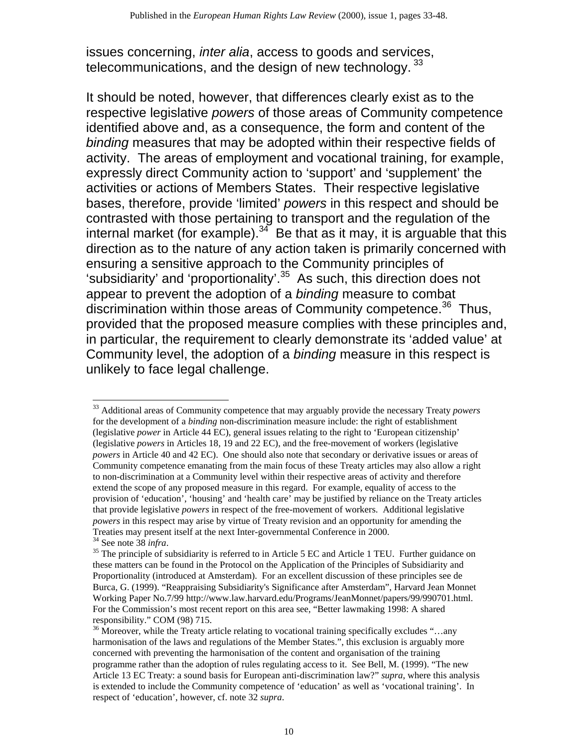issues concerning, *inter alia*, access to goods and services, telecommunications, and the design of new technology.  $33$ 

It should be noted, however, that differences clearly exist as to the respective legislative *powers* of those areas of Community competence identified above and, as a consequence, the form and content of the *binding* measures that may be adopted within their respective fields of activity. The areas of employment and vocational training, for example, expressly direct Community action to 'support' and 'supplement' the activities or actions of Members States. Their respective legislative bases, therefore, provide 'limited' *powers* in this respect and should be contrasted with those pertaining to transport and the regulation of the internal market (for example).<sup>34</sup> Be that as it may, it is arguable that this direction as to the nature of any action taken is primarily concerned with ensuring a sensitive approach to the Community principles of 'subsidiarity' and 'proportionality'.<sup>35</sup> As such, this direction does not appear to prevent the adoption of a *binding* measure to combat discrimination within those areas of Community competence.<sup>36</sup> Thus, provided that the proposed measure complies with these principles and, in particular, the requirement to clearly demonstrate its 'added value' at Community level, the adoption of a *binding* measure in this respect is unlikely to face legal challenge.

<sup>33</sup> Additional areas of Community competence that may arguably provide the necessary Treaty *powers* for the development of a *binding* non-discrimination measure include: the right of establishment (legislative *power* in Article 44 EC), general issues relating to the right to 'European citizenship' (legislative *powers* in Articles 18, 19 and 22 EC), and the free-movement of workers (legislative *powers* in Article 40 and 42 EC). One should also note that secondary or derivative issues or areas of Community competence emanating from the main focus of these Treaty articles may also allow a right to non-discrimination at a Community level within their respective areas of activity and therefore extend the scope of any proposed measure in this regard. For example, equality of access to the provision of 'education', 'housing' and 'health care' may be justified by reliance on the Treaty articles that provide legislative *powers* in respect of the free-movement of workers. Additional legislative *powers* in this respect may arise by virtue of Treaty revision and an opportunity for amending the Treaties may present itself at the next Inter-governmental Conference in 2000. 34 See note 38 *infra*.

<sup>&</sup>lt;sup>35</sup> The principle of subsidiarity is referred to in Article 5 EC and Article 1 TEU. Further guidance on these matters can be found in the Protocol on the Application of the Principles of Subsidiarity and Proportionality (introduced at Amsterdam). For an excellent discussion of these principles see de Burca, G. (1999). "Reappraising Subsidiarity's Significance after Amsterdam", Harvard Jean Monnet Working Paper No.7/99 http://www.law.harvard.edu/Programs/JeanMonnet/papers/99/990701.html. For the Commission's most recent report on this area see, "Better lawmaking 1998: A shared responsibility." COM (98) 715.

 $36$  Moreover, while the Treaty article relating to vocational training specifically excludes "...any harmonisation of the laws and regulations of the Member States.", this exclusion is arguably more concerned with preventing the harmonisation of the content and organisation of the training programme rather than the adoption of rules regulating access to it. See Bell, M. (1999). "The new Article 13 EC Treaty: a sound basis for European anti-discrimination law?" *supra*, where this analysis is extended to include the Community competence of 'education' as well as 'vocational training'. In respect of 'education', however, cf. note 32 *supra*.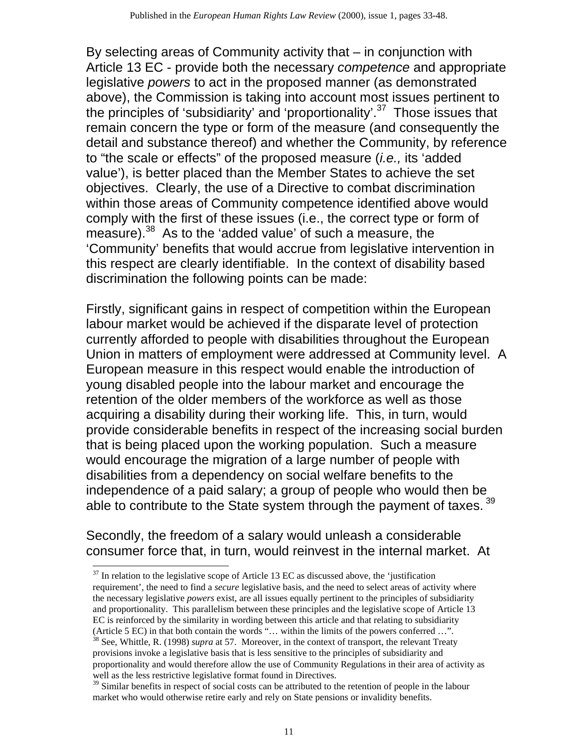By selecting areas of Community activity that – in conjunction with Article 13 EC - provide both the necessary *competence* and appropriate legislative *powers* to act in the proposed manner (as demonstrated above), the Commission is taking into account most issues pertinent to the principles of 'subsidiarity' and 'proportionality'.37 Those issues that remain concern the type or form of the measure (and consequently the detail and substance thereof) and whether the Community, by reference to "the scale or effects" of the proposed measure (*i.e.,* its 'added value'), is better placed than the Member States to achieve the set objectives. Clearly, the use of a Directive to combat discrimination within those areas of Community competence identified above would comply with the first of these issues (i.e., the correct type or form of measure).<sup>38</sup> As to the 'added value' of such a measure, the 'Community' benefits that would accrue from legislative intervention in this respect are clearly identifiable. In the context of disability based discrimination the following points can be made:

Firstly, significant gains in respect of competition within the European labour market would be achieved if the disparate level of protection currently afforded to people with disabilities throughout the European Union in matters of employment were addressed at Community level. A European measure in this respect would enable the introduction of young disabled people into the labour market and encourage the retention of the older members of the workforce as well as those acquiring a disability during their working life. This, in turn, would provide considerable benefits in respect of the increasing social burden that is being placed upon the working population. Such a measure would encourage the migration of a large number of people with disabilities from a dependency on social welfare benefits to the independence of a paid salary; a group of people who would then be able to contribute to the State system through the payment of taxes. 39

Secondly, the freedom of a salary would unleash a considerable consumer force that, in turn, would reinvest in the internal market. At

 $37$  In relation to the legislative scope of Article 13 EC as discussed above, the 'justification requirement', the need to find a *secure* legislative basis, and the need to select areas of activity where the necessary legislative *powers* exist, are all issues equally pertinent to the principles of subsidiarity and proportionality. This parallelism between these principles and the legislative scope of Article 13 EC is reinforced by the similarity in wording between this article and that relating to subsidiarity (Article 5 EC) in that both contain the words "… within the limits of the powers conferred …". 38 See, Whittle, R. (1998) *supra* at 57. Moreover, in the context of transport, the relevant Treaty provisions invoke a legislative basis that is less sensitive to the principles of subsidiarity and proportionality and would therefore allow the use of Community Regulations in their area of activity as well as the less restrictive legislative format found in Directives.

 $39$  Similar benefits in respect of social costs can be attributed to the retention of people in the labour market who would otherwise retire early and rely on State pensions or invalidity benefits.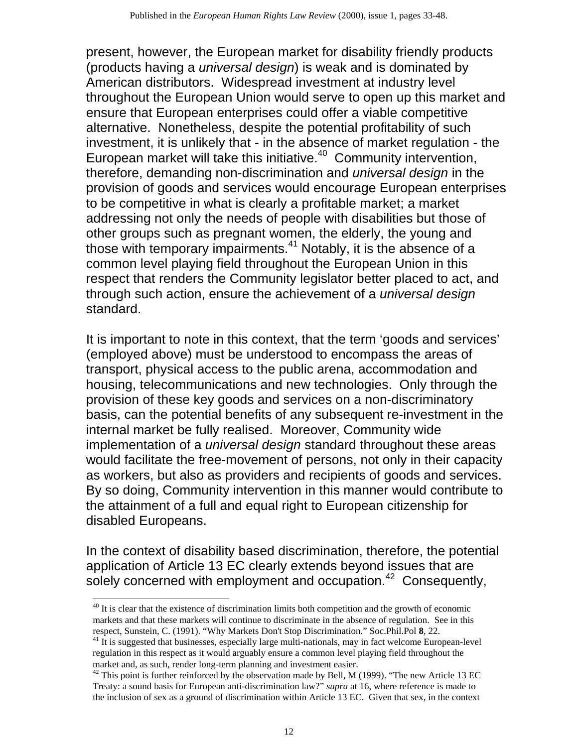present, however, the European market for disability friendly products (products having a *universal design*) is weak and is dominated by American distributors. Widespread investment at industry level throughout the European Union would serve to open up this market and ensure that European enterprises could offer a viable competitive alternative. Nonetheless, despite the potential profitability of such investment, it is unlikely that - in the absence of market regulation - the European market will take this initiative. $40$  Community intervention, therefore, demanding non-discrimination and *universal design* in the provision of goods and services would encourage European enterprises to be competitive in what is clearly a profitable market; a market addressing not only the needs of people with disabilities but those of other groups such as pregnant women, the elderly, the young and those with temporary impairments.<sup>41</sup> Notably, it is the absence of a common level playing field throughout the European Union in this respect that renders the Community legislator better placed to act, and through such action, ensure the achievement of a *universal design*  standard.

It is important to note in this context, that the term 'goods and services' (employed above) must be understood to encompass the areas of transport, physical access to the public arena, accommodation and housing, telecommunications and new technologies. Only through the provision of these key goods and services on a non-discriminatory basis, can the potential benefits of any subsequent re-investment in the internal market be fully realised. Moreover, Community wide implementation of a *universal design* standard throughout these areas would facilitate the free-movement of persons, not only in their capacity as workers, but also as providers and recipients of goods and services. By so doing, Community intervention in this manner would contribute to the attainment of a full and equal right to European citizenship for disabled Europeans.

In the context of disability based discrimination, therefore, the potential application of Article 13 EC clearly extends beyond issues that are solely concerned with employment and occupation.<sup>42</sup> Consequently,

<sup>&</sup>lt;sup>40</sup> It is clear that the existence of discrimination limits both competition and the growth of economic markets and that these markets will continue to discriminate in the absence of regulation. See in this respect, Sunstein, C. (1991). "Why Markets Don't Stop Discrimination." Soc.Phil.Pol **8**, 22.

 $<sup>41</sup>$  It is suggested that businesses, especially large multi-nationals, may in fact welcome European-level</sup> regulation in this respect as it would arguably ensure a common level playing field throughout the market and, as such, render long-term planning and investment easier.

 $42$  This point is further reinforced by the observation made by Bell, M (1999). "The new Article 13 EC Treaty: a sound basis for European anti-discrimination law?" *supra* at 16, where reference is made to the inclusion of sex as a ground of discrimination within Article 13 EC. Given that sex, in the context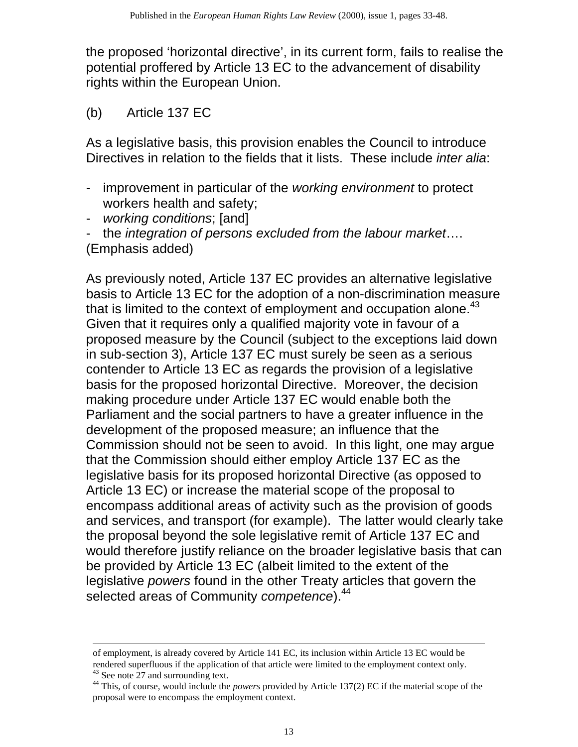the proposed 'horizontal directive', in its current form, fails to realise the potential proffered by Article 13 EC to the advancement of disability rights within the European Union.

(b) Article 137 EC

As a legislative basis, this provision enables the Council to introduce Directives in relation to the fields that it lists. These include *inter alia*:

- improvement in particular of the *working environment* to protect workers health and safety;
- *working conditions*; [and]

- the *integration of persons excluded from the labour market*…. (Emphasis added)

As previously noted, Article 137 EC provides an alternative legislative basis to Article 13 EC for the adoption of a non-discrimination measure that is limited to the context of employment and occupation alone.<sup>43</sup> Given that it requires only a qualified majority vote in favour of a proposed measure by the Council (subject to the exceptions laid down in sub-section 3), Article 137 EC must surely be seen as a serious contender to Article 13 EC as regards the provision of a legislative basis for the proposed horizontal Directive. Moreover, the decision making procedure under Article 137 EC would enable both the Parliament and the social partners to have a greater influence in the development of the proposed measure; an influence that the Commission should not be seen to avoid. In this light, one may argue that the Commission should either employ Article 137 EC as the legislative basis for its proposed horizontal Directive (as opposed to Article 13 EC) or increase the material scope of the proposal to encompass additional areas of activity such as the provision of goods and services, and transport (for example). The latter would clearly take the proposal beyond the sole legislative remit of Article 137 EC and would therefore justify reliance on the broader legislative basis that can be provided by Article 13 EC (albeit limited to the extent of the legislative *powers* found in the other Treaty articles that govern the selected areas of Community *competence*).<sup>44</sup>

of employment, is already covered by Article 141 EC, its inclusion within Article 13 EC would be rendered superfluous if the application of that article were limited to the employment context only.

<sup>&</sup>lt;sup>43</sup> See note 27 and surrounding text.

<sup>44</sup> This, of course, would include the *powers* provided by Article 137(2) EC if the material scope of the proposal were to encompass the employment context.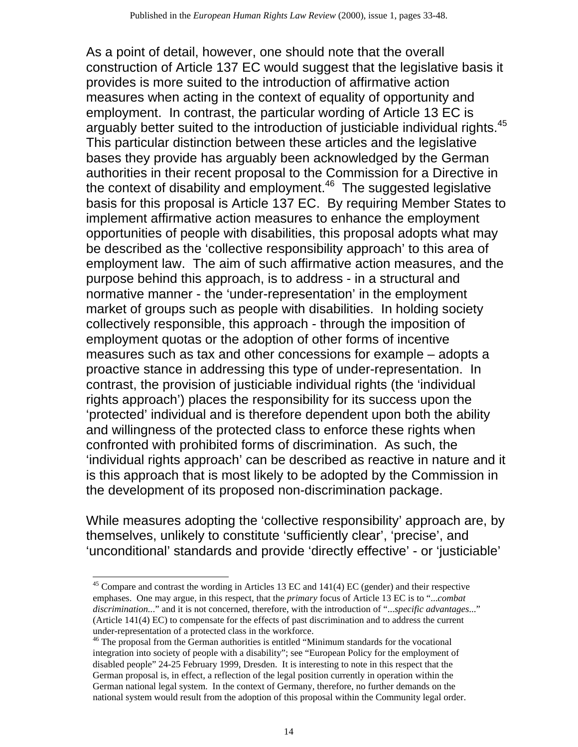As a point of detail, however, one should note that the overall construction of Article 137 EC would suggest that the legislative basis it provides is more suited to the introduction of affirmative action measures when acting in the context of equality of opportunity and employment. In contrast, the particular wording of Article 13 EC is arguably better suited to the introduction of justiciable individual rights.<sup>45</sup> This particular distinction between these articles and the legislative bases they provide has arguably been acknowledged by the German authorities in their recent proposal to the Commission for a Directive in the context of disability and employment. $46$  The suggested legislative basis for this proposal is Article 137 EC. By requiring Member States to implement affirmative action measures to enhance the employment opportunities of people with disabilities, this proposal adopts what may be described as the 'collective responsibility approach' to this area of employment law. The aim of such affirmative action measures, and the purpose behind this approach, is to address - in a structural and normative manner - the 'under-representation' in the employment market of groups such as people with disabilities. In holding society collectively responsible, this approach - through the imposition of employment quotas or the adoption of other forms of incentive measures such as tax and other concessions for example – adopts a proactive stance in addressing this type of under-representation. In contrast, the provision of justiciable individual rights (the 'individual rights approach') places the responsibility for its success upon the 'protected' individual and is therefore dependent upon both the ability and willingness of the protected class to enforce these rights when confronted with prohibited forms of discrimination. As such, the 'individual rights approach' can be described as reactive in nature and it is this approach that is most likely to be adopted by the Commission in the development of its proposed non-discrimination package.

While measures adopting the 'collective responsibility' approach are, by themselves, unlikely to constitute 'sufficiently clear', 'precise', and 'unconditional' standards and provide 'directly effective' - or 'justiciable'

<sup>&</sup>lt;sup>45</sup> Compare and contrast the wording in Articles 13 EC and 141(4) EC (gender) and their respective emphases. One may argue, in this respect, that the *primary* focus of Article 13 EC is to "...*combat discrimination..*." and it is not concerned, therefore, with the introduction of "...*specific advantages*..." (Article 141(4) EC) to compensate for the effects of past discrimination and to address the current

under-representation of a protected class in the workforce. 46 The proposal from the German authorities is entitled "Minimum standards for the vocational integration into society of people with a disability"; see "European Policy for the employment of disabled people" 24-25 February 1999, Dresden. It is interesting to note in this respect that the German proposal is, in effect, a reflection of the legal position currently in operation within the German national legal system. In the context of Germany, therefore, no further demands on the national system would result from the adoption of this proposal within the Community legal order.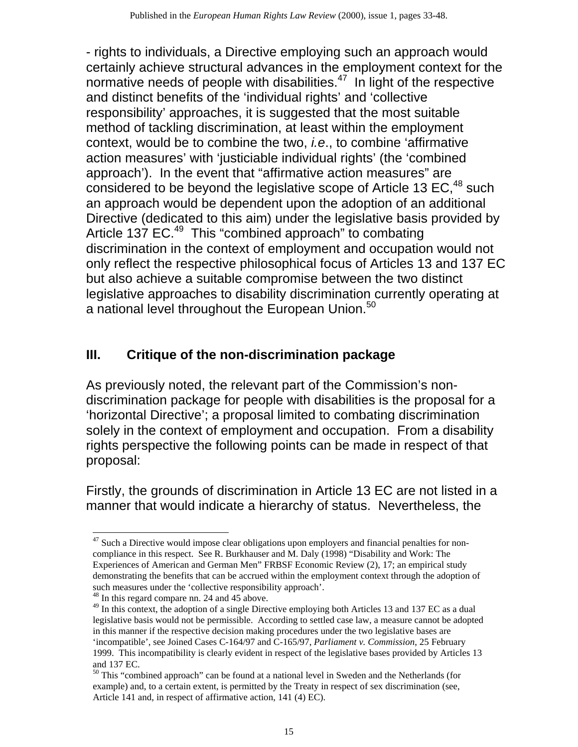- rights to individuals, a Directive employing such an approach would certainly achieve structural advances in the employment context for the normative needs of people with disabilities.<sup> $47$ </sup> In light of the respective and distinct benefits of the 'individual rights' and 'collective responsibility' approaches, it is suggested that the most suitable method of tackling discrimination, at least within the employment context, would be to combine the two, *i.e*., to combine 'affirmative action measures' with 'justiciable individual rights' (the 'combined approach'). In the event that "affirmative action measures" are considered to be beyond the legislative scope of Article 13  $EC<sup>48</sup>$  such an approach would be dependent upon the adoption of an additional Directive (dedicated to this aim) under the legislative basis provided by Article 137 EC.<sup>49</sup> This "combined approach" to combating discrimination in the context of employment and occupation would not only reflect the respective philosophical focus of Articles 13 and 137 EC but also achieve a suitable compromise between the two distinct legislative approaches to disability discrimination currently operating at a national level throughout the European Union.<sup>50</sup>

# **III. Critique of the non-discrimination package**

As previously noted, the relevant part of the Commission's nondiscrimination package for people with disabilities is the proposal for a 'horizontal Directive'; a proposal limited to combating discrimination solely in the context of employment and occupation. From a disability rights perspective the following points can be made in respect of that proposal:

Firstly, the grounds of discrimination in Article 13 EC are not listed in a manner that would indicate a hierarchy of status. Nevertheless, the

 $47$  Such a Directive would impose clear obligations upon employers and financial penalties for noncompliance in this respect. See R. Burkhauser and M. Daly (1998) "Disability and Work: The Experiences of American and German Men" FRBSF Economic Review (2), 17; an empirical study demonstrating the benefits that can be accrued within the employment context through the adoption of such measures under the 'collective responsibility approach'.

<sup>48</sup> In this regard compare nn. 24 and 45 above.

<sup>&</sup>lt;sup>49</sup> In this context, the adoption of a single Directive employing both Articles 13 and 137 EC as a dual legislative basis would not be permissible. According to settled case law, a measure cannot be adopted in this manner if the respective decision making procedures under the two legislative bases are 'incompatible', see Joined Cases C-164/97 and C-165/97, *Parliament v. Commission*, 25 February 1999. This incompatibility is clearly evident in respect of the legislative bases provided by Articles 13 and 137 EC.

<sup>&</sup>lt;sup>50</sup> This "combined approach" can be found at a national level in Sweden and the Netherlands (for example) and, to a certain extent, is permitted by the Treaty in respect of sex discrimination (see, Article 141 and, in respect of affirmative action, 141 (4) EC).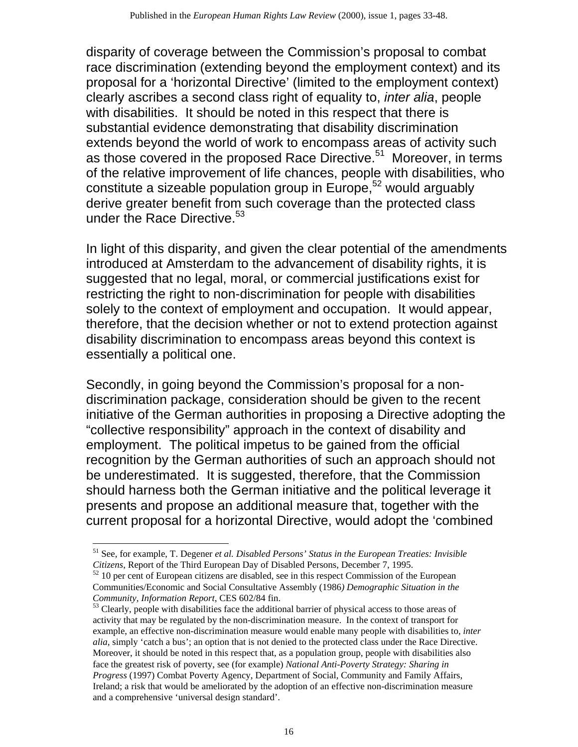disparity of coverage between the Commission's proposal to combat race discrimination (extending beyond the employment context) and its proposal for a 'horizontal Directive' (limited to the employment context) clearly ascribes a second class right of equality to, *inter alia*, people with disabilities. It should be noted in this respect that there is substantial evidence demonstrating that disability discrimination extends beyond the world of work to encompass areas of activity such as those covered in the proposed Race Directive.<sup>51</sup> Moreover, in terms of the relative improvement of life chances, people with disabilities, who constitute a sizeable population group in Europe,<sup>52</sup> would arguably derive greater benefit from such coverage than the protected class under the Race Directive.<sup>53</sup>

In light of this disparity, and given the clear potential of the amendments introduced at Amsterdam to the advancement of disability rights, it is suggested that no legal, moral, or commercial justifications exist for restricting the right to non-discrimination for people with disabilities solely to the context of employment and occupation. It would appear, therefore, that the decision whether or not to extend protection against disability discrimination to encompass areas beyond this context is essentially a political one.

Secondly, in going beyond the Commission's proposal for a nondiscrimination package, consideration should be given to the recent initiative of the German authorities in proposing a Directive adopting the "collective responsibility" approach in the context of disability and employment. The political impetus to be gained from the official recognition by the German authorities of such an approach should not be underestimated. It is suggested, therefore, that the Commission should harness both the German initiative and the political leverage it presents and propose an additional measure that, together with the current proposal for a horizontal Directive, would adopt the 'combined

<sup>51</sup> See, for example, T. Degener *et al. Disabled Persons' Status in the European Treaties: Invisible Citizens*, Report of the Third European Day of Disabled Persons, December 7, 1995.

 $52$  10 per cent of European citizens are disabled, see in this respect Commission of the European Communities/Economic and Social Consultative Assembly (1986*) Demographic Situation in the Community, Information Report*, CES 602/84 fin.

<sup>&</sup>lt;sup>53</sup> Clearly, people with disabilities face the additional barrier of physical access to those areas of activity that may be regulated by the non-discrimination measure. In the context of transport for example, an effective non-discrimination measure would enable many people with disabilities to, *inter alia,* simply 'catch a bus'; an option that is not denied to the protected class under the Race Directive. Moreover, it should be noted in this respect that, as a population group, people with disabilities also face the greatest risk of poverty, see (for example) *National Anti-Poverty Strategy: Sharing in Progress* (1997) Combat Poverty Agency, Department of Social, Community and Family Affairs, Ireland; a risk that would be ameliorated by the adoption of an effective non-discrimination measure and a comprehensive 'universal design standard'.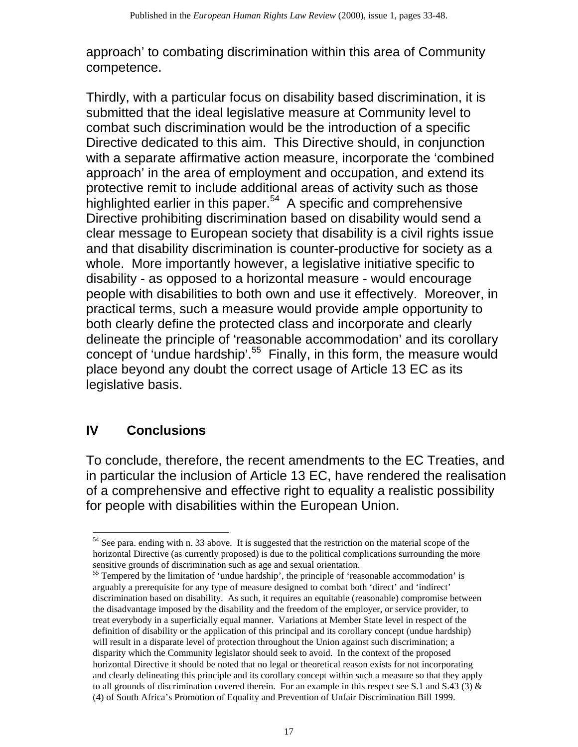approach' to combating discrimination within this area of Community competence.

Thirdly, with a particular focus on disability based discrimination, it is submitted that the ideal legislative measure at Community level to combat such discrimination would be the introduction of a specific Directive dedicated to this aim. This Directive should, in conjunction with a separate affirmative action measure, incorporate the 'combined approach' in the area of employment and occupation, and extend its protective remit to include additional areas of activity such as those highlighted earlier in this paper. $54$  A specific and comprehensive Directive prohibiting discrimination based on disability would send a clear message to European society that disability is a civil rights issue and that disability discrimination is counter-productive for society as a whole. More importantly however, a legislative initiative specific to disability - as opposed to a horizontal measure - would encourage people with disabilities to both own and use it effectively. Moreover, in practical terms, such a measure would provide ample opportunity to both clearly define the protected class and incorporate and clearly delineate the principle of 'reasonable accommodation' and its corollary concept of 'undue hardship'.<sup>55</sup> Finally, in this form, the measure would place beyond any doubt the correct usage of Article 13 EC as its legislative basis.

#### **Conclusions IV**

To conclude, therefore, the recent amendments to the EC Treaties, and in particular the inclusion of Article 13 EC, have rendered the realisation of a comprehensive and effective right to equality a realistic possibility for people with disabilities within the European Union.

<sup>&</sup>lt;sup>54</sup> See para. ending with n. 33 above. It is suggested that the restriction on the material scope of the horizontal Directive (as currently proposed) is due to the political complications surrounding the more sensitive grounds of discrimination such as age and sexual orientation.

<sup>&</sup>lt;sup>55</sup> Tempered by the limitation of 'undue hardship', the principle of 'reasonable accommodation' is arguably a prerequisite for any type of measure designed to combat both 'direct' and 'indirect' discrimination based on disability. As such, it requires an equitable (reasonable) compromise between the disadvantage imposed by the disability and the freedom of the employer, or service provider, to treat everybody in a superficially equal manner. Variations at Member State level in respect of the definition of disability or the application of this principal and its corollary concept (undue hardship) will result in a disparate level of protection throughout the Union against such discrimination; a disparity which the Community legislator should seek to avoid. In the context of the proposed horizontal Directive it should be noted that no legal or theoretical reason exists for not incorporating and clearly delineating this principle and its corollary concept within such a measure so that they apply to all grounds of discrimination covered therein. For an example in this respect see S.1 and S.43 (3)  $\&$ (4) of South Africa's Promotion of Equality and Prevention of Unfair Discrimination Bill 1999.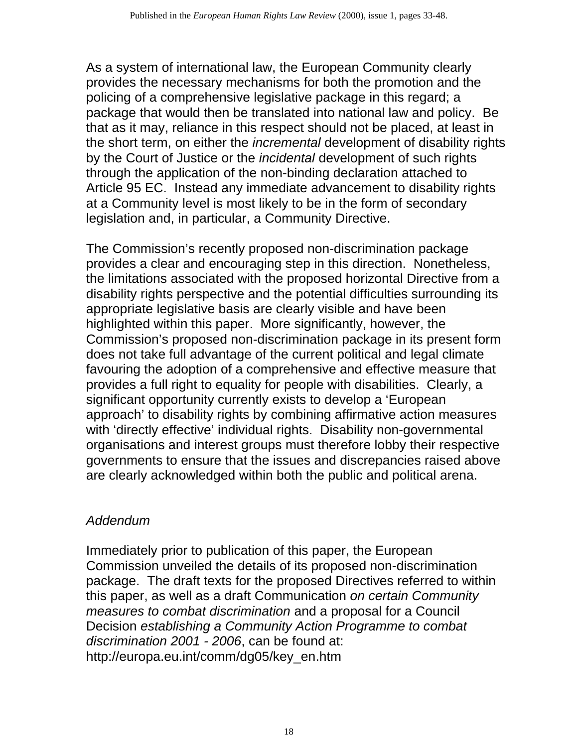As a system of international law, the European Community clearly provides the necessary mechanisms for both the promotion and the policing of a comprehensive legislative package in this regard; a package that would then be translated into national law and policy. Be that as it may, reliance in this respect should not be placed, at least in the short term, on either the *incremental* development of disability rights by the Court of Justice or the *incidental* development of such rights through the application of the non-binding declaration attached to Article 95 EC. Instead any immediate advancement to disability rights at a Community level is most likely to be in the form of secondary legislation and, in particular, a Community Directive.

The Commission's recently proposed non-discrimination package provides a clear and encouraging step in this direction. Nonetheless, the limitations associated with the proposed horizontal Directive from a disability rights perspective and the potential difficulties surrounding its appropriate legislative basis are clearly visible and have been highlighted within this paper. More significantly, however, the Commission's proposed non-discrimination package in its present form does not take full advantage of the current political and legal climate favouring the adoption of a comprehensive and effective measure that provides a full right to equality for people with disabilities. Clearly, a significant opportunity currently exists to develop a 'European approach' to disability rights by combining affirmative action measures with 'directly effective' individual rights. Disability non-governmental organisations and interest groups must therefore lobby their respective governments to ensure that the issues and discrepancies raised above are clearly acknowledged within both the public and political arena.

# *Addendum*

Immediately prior to publication of this paper, the European Commission unveiled the details of its proposed non-discrimination package. The draft texts for the proposed Directives referred to within this paper, as well as a draft Communication *on certain Community measures to combat discrimination* and a proposal for a Council Decision *establishing a Community Action Programme to combat discrimination 2001 - 2006*, can be found at: http://europa.eu.int/comm/dg05/key\_en.htm